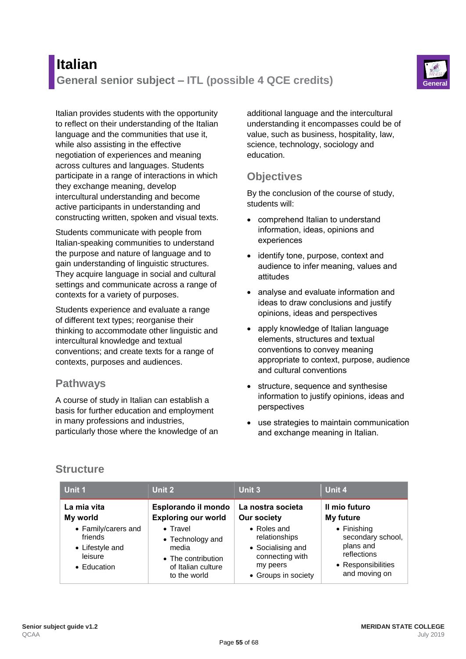# **Italian General senior subject – ITL (possible 4 QCE credits) General**

Italian provides students with the opportunity to reflect on their understanding of the Italian language and the communities that use it, while also assisting in the effective negotiation of experiences and meaning across cultures and languages. Students participate in a range of interactions in which they exchange meaning, develop intercultural understanding and become active participants in understanding and constructing written, spoken and visual texts.

Students communicate with people from Italian-speaking communities to understand the purpose and nature of language and to gain understanding of linguistic structures. They acquire language in social and cultural settings and communicate across a range of contexts for a variety of purposes.

Students experience and evaluate a range of different text types; reorganise their thinking to accommodate other linguistic and intercultural knowledge and textual conventions; and create texts for a range of contexts, purposes and audiences.

### **Pathways**

A course of study in Italian can establish a basis for further education and employment in many professions and industries, particularly those where the knowledge of an additional language and the intercultural understanding it encompasses could be of value, such as business, hospitality, law, science, technology, sociology and education.

## **Objectives**

By the conclusion of the course of study, students will:

- comprehend Italian to understand information, ideas, opinions and experiences
- identify tone, purpose, context and audience to infer meaning, values and attitudes
- analyse and evaluate information and ideas to draw conclusions and justify opinions, ideas and perspectives
- apply knowledge of Italian language elements, structures and textual conventions to convey meaning appropriate to context, purpose, audience and cultural conventions
- structure, sequence and synthesise information to justify opinions, ideas and perspectives
- use strategies to maintain communication and exchange meaning in Italian.

# **Structure**

| Unit 1                                                                                                 | Unit 2                                                                                                                                                         | Unit 3                                                                                                                                             | Unit 4                                                                                                                                    |
|--------------------------------------------------------------------------------------------------------|----------------------------------------------------------------------------------------------------------------------------------------------------------------|----------------------------------------------------------------------------------------------------------------------------------------------------|-------------------------------------------------------------------------------------------------------------------------------------------|
| La mia vita<br>My world<br>• Family/carers and<br>friends<br>• Lifestyle and<br>leisure<br>• Education | Esplorando il mondo<br><b>Exploring our world</b><br>$\bullet$ Travel<br>• Technology and<br>media<br>• The contribution<br>of Italian culture<br>to the world | La nostra societa<br><b>Our society</b><br>• Roles and<br>relationships<br>• Socialising and<br>connecting with<br>my peers<br>• Groups in society | Il mio futuro<br>My future<br>$\bullet$ Finishing<br>secondary school,<br>plans and<br>reflections<br>• Responsibilities<br>and moving on |